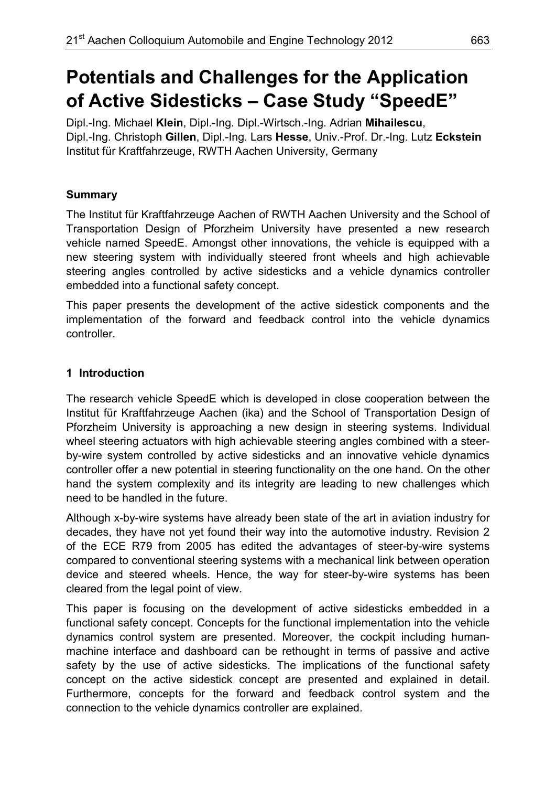# **Potentials and Challenges for the Application of Active Sidesticks – Case Study "SpeedE"**

Dipl.-Ing. Michael **Klein**, Dipl.-Ing. Dipl.-Wirtsch.-Ing. Adrian **Mihailescu**, Dipl.-Ing. Christoph **Gillen**, Dipl.-Ing. Lars **Hesse**, Univ.-Prof. Dr.-Ing. Lutz **Eckstein** Institut für Kraftfahrzeuge, RWTH Aachen University, Germany

# **Summary**

The Institut für Kraftfahrzeuge Aachen of RWTH Aachen University and the School of Transportation Design of Pforzheim University have presented a new research vehicle named SpeedE. Amongst other innovations, the vehicle is equipped with a new steering system with individually steered front wheels and high achievable steering angles controlled by active sidesticks and a vehicle dynamics controller embedded into a functional safety concept.

This paper presents the development of the active sidestick components and the implementation of the forward and feedback control into the vehicle dynamics controller.

# **1 Introduction**

The research vehicle SpeedE which is developed in close cooperation between the Institut für Kraftfahrzeuge Aachen (ika) and the School of Transportation Design of Pforzheim University is approaching a new design in steering systems. Individual wheel steering actuators with high achievable steering angles combined with a steerby-wire system controlled by active sidesticks and an innovative vehicle dynamics controller offer a new potential in steering functionality on the one hand. On the other hand the system complexity and its integrity are leading to new challenges which need to be handled in the future.

Although x-by-wire systems have already been state of the art in aviation industry for decades, they have not yet found their way into the automotive industry. Revision 2 of the ECE R79 from 2005 has edited the advantages of steer-by-wire systems compared to conventional steering systems with a mechanical link between operation device and steered wheels. Hence, the way for steer-by-wire systems has been cleared from the legal point of view.

This paper is focusing on the development of active sidesticks embedded in a functional safety concept. Concepts for the functional implementation into the vehicle dynamics control system are presented. Moreover, the cockpit including humanmachine interface and dashboard can be rethought in terms of passive and active safety by the use of active sidesticks. The implications of the functional safety concept on the active sidestick concept are presented and explained in detail. Furthermore, concepts for the forward and feedback control system and the connection to the vehicle dynamics controller are explained.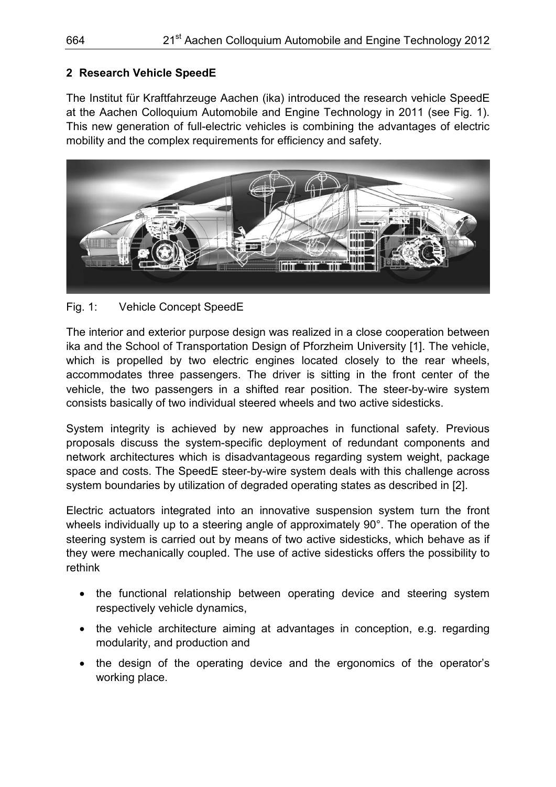## **2 Research Vehicle SpeedE**

The Institut für Kraftfahrzeuge Aachen (ika) introduced the research vehicle SpeedE at the Aachen Colloquium Automobile and Engine Technology in 2011 (see Fig. 1). This new generation of full-electric vehicles is combining the advantages of electric mobility and the complex requirements for efficiency and safety.



## Fig. 1: Vehicle Concept SpeedE

The interior and exterior purpose design was realized in a close cooperation between ika and the School of Transportation Design of Pforzheim University [1]. The vehicle, which is propelled by two electric engines located closely to the rear wheels, accommodates three passengers. The driver is sitting in the front center of the vehicle, the two passengers in a shifted rear position. The steer-by-wire system consists basically of two individual steered wheels and two active sidesticks.

System integrity is achieved by new approaches in functional safety. Previous proposals discuss the system-specific deployment of redundant components and network architectures which is disadvantageous regarding system weight, package space and costs. The SpeedE steer-by-wire system deals with this challenge across system boundaries by utilization of degraded operating states as described in [2].

Electric actuators integrated into an innovative suspension system turn the front wheels individually up to a steering angle of approximately 90°. The operation of the steering system is carried out by means of two active sidesticks, which behave as if they were mechanically coupled. The use of active sidesticks offers the possibility to rethink

- the functional relationship between operating device and steering system respectively vehicle dynamics,
- the vehicle architecture aiming at advantages in conception, e.g. regarding modularity, and production and
- the design of the operating device and the ergonomics of the operator's working place.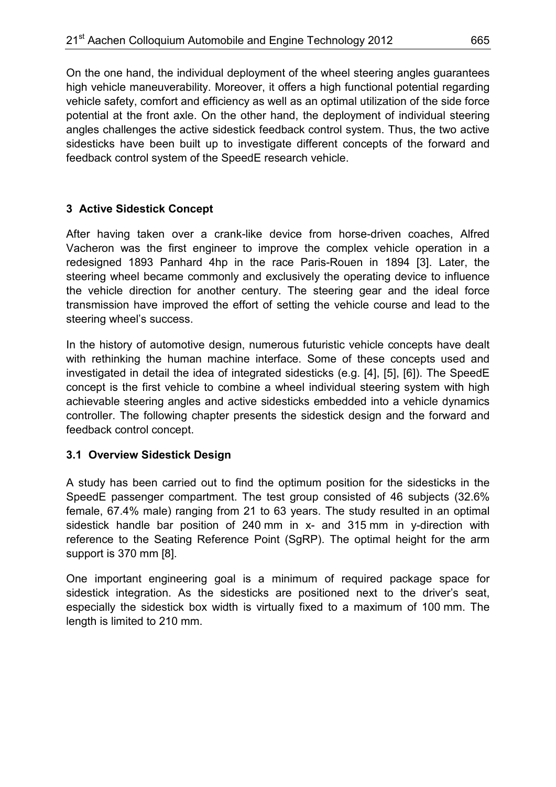On the one hand, the individual deployment of the wheel steering angles guarantees high vehicle maneuverability. Moreover, it offers a high functional potential regarding vehicle safety, comfort and efficiency as well as an optimal utilization of the side force potential at the front axle. On the other hand, the deployment of individual steering angles challenges the active sidestick feedback control system. Thus, the two active sidesticks have been built up to investigate different concepts of the forward and feedback control system of the SpeedE research vehicle.

# **3 Active Sidestick Concept**

After having taken over a crank-like device from horse-driven coaches, Alfred Vacheron was the first engineer to improve the complex vehicle operation in a redesigned 1893 Panhard 4hp in the race Paris-Rouen in 1894 [3]. Later, the steering wheel became commonly and exclusively the operating device to influence the vehicle direction for another century. The steering gear and the ideal force transmission have improved the effort of setting the vehicle course and lead to the steering wheel's success.

In the history of automotive design, numerous futuristic vehicle concepts have dealt with rethinking the human machine interface. Some of these concepts used and investigated in detail the idea of integrated sidesticks (e.g. [4], [5], [6]). The SpeedE concept is the first vehicle to combine a wheel individual steering system with high achievable steering angles and active sidesticks embedded into a vehicle dynamics controller. The following chapter presents the sidestick design and the forward and feedback control concept.

# **3.1 Overview Sidestick Design**

A study has been carried out to find the optimum position for the sidesticks in the SpeedE passenger compartment. The test group consisted of 46 subjects (32.6% female, 67.4% male) ranging from 21 to 63 years. The study resulted in an optimal sidestick handle bar position of 240 mm in x- and 315 mm in y-direction with reference to the Seating Reference Point (SgRP). The optimal height for the arm support is 370 mm [8].

One important engineering goal is a minimum of required package space for sidestick integration. As the sidesticks are positioned next to the driver's seat, especially the sidestick box width is virtually fixed to a maximum of 100 mm. The length is limited to 210 mm.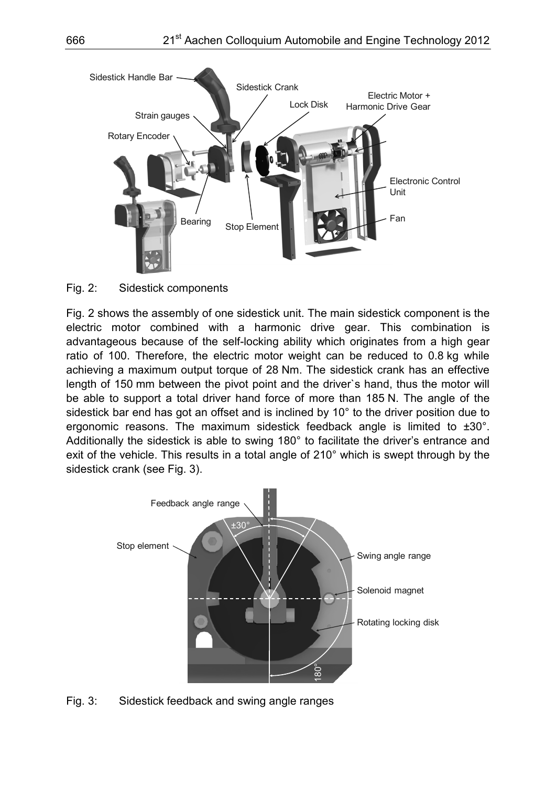

#### Fig. 2: Sidestick components

Fig. 2 shows the assembly of one sidestick unit. The main sidestick component is the electric motor combined with a harmonic drive gear. This combination is advantageous because of the self-locking ability which originates from a high gear ratio of 100. Therefore, the electric motor weight can be reduced to 0.8 kg while achieving a maximum output torque of 28 Nm. The sidestick crank has an effective length of 150 mm between the pivot point and the driver`s hand, thus the motor will be able to support a total driver hand force of more than 185 N. The angle of the sidestick bar end has got an offset and is inclined by 10° to the driver position due to ergonomic reasons. The maximum sidestick feedback angle is limited to ±30°. Additionally the sidestick is able to swing 180° to facilitate the driver's entrance and exit of the vehicle. This results in a total angle of 210° which is swept through by the sidestick crank (see Fig. 3).



Fig. 3: Sidestick feedback and swing angle ranges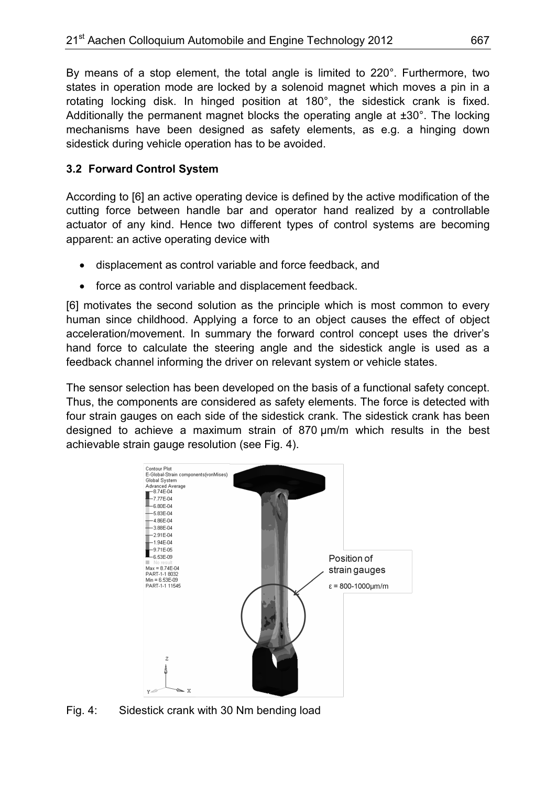By means of a stop element, the total angle is limited to 220°. Furthermore, two states in operation mode are locked by a solenoid magnet which moves a pin in a rotating locking disk. In hinged position at 180°, the sidestick crank is fixed. Additionally the permanent magnet blocks the operating angle at ±30°. The locking mechanisms have been designed as safety elements, as e.g. a hinging down sidestick during vehicle operation has to be avoided.

# **3.2 Forward Control System**

According to [6] an active operating device is defined by the active modification of the cutting force between handle bar and operator hand realized by a controllable actuator of any kind. Hence two different types of control systems are becoming apparent: an active operating device with

- displacement as control variable and force feedback, and
- force as control variable and displacement feedback.

[6] motivates the second solution as the principle which is most common to every human since childhood. Applying a force to an object causes the effect of object acceleration/movement. In summary the forward control concept uses the driver's hand force to calculate the steering angle and the sidestick angle is used as a feedback channel informing the driver on relevant system or vehicle states.

The sensor selection has been developed on the basis of a functional safety concept. Thus, the components are considered as safety elements. The force is detected with four strain gauges on each side of the sidestick crank. The sidestick crank has been designed to achieve a maximum strain of 870 µm/m which results in the best achievable strain gauge resolution (see Fig. 4).



Fig. 4: Sidestick crank with 30 Nm bending load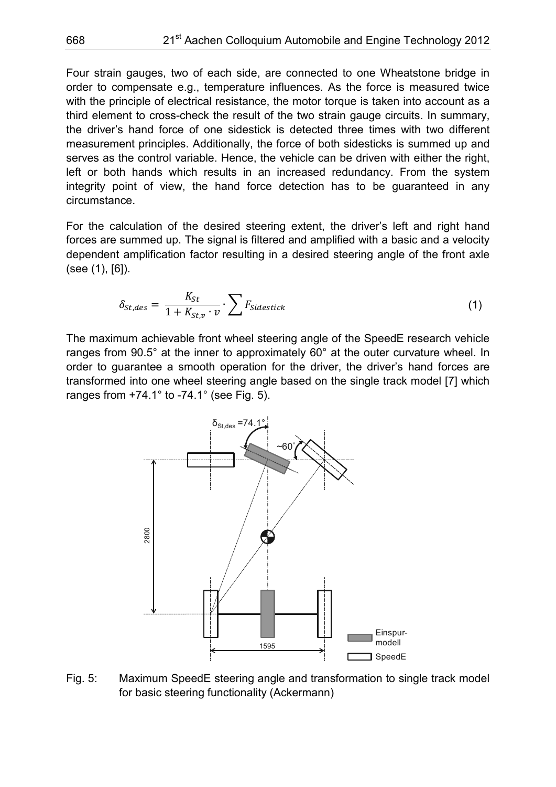Four strain gauges, two of each side, are connected to one Wheatstone bridge in order to compensate e.g., temperature influences. As the force is measured twice with the principle of electrical resistance, the motor torque is taken into account as a third element to cross-check the result of the two strain gauge circuits. In summary, the driver's hand force of one sidestick is detected three times with two different measurement principles. Additionally, the force of both sidesticks is summed up and serves as the control variable. Hence, the vehicle can be driven with either the right, left or both hands which results in an increased redundancy. From the system integrity point of view, the hand force detection has to be guaranteed in any circumstance.

For the calculation of the desired steering extent, the driver's left and right hand forces are summed up. The signal is filtered and amplified with a basic and a velocity dependent amplification factor resulting in a desired steering angle of the front axle (see (1), [6]).

$$
\delta_{St,des} = \frac{K_{St}}{1 + K_{St,v} \cdot v} \cdot \sum F_{Sidestick} \tag{1}
$$

The maximum achievable front wheel steering angle of the SpeedE research vehicle ranges from 90.5° at the inner to approximately 60° at the outer curvature wheel. In order to guarantee a smooth operation for the driver, the driver's hand forces are transformed into one wheel steering angle based on the single track model [7] which ranges from  $+74.1^\circ$  to -74.1° (see Fig. 5).



Fig. 5: Maximum SpeedE steering angle and transformation to single track model for basic steering functionality (Ackermann)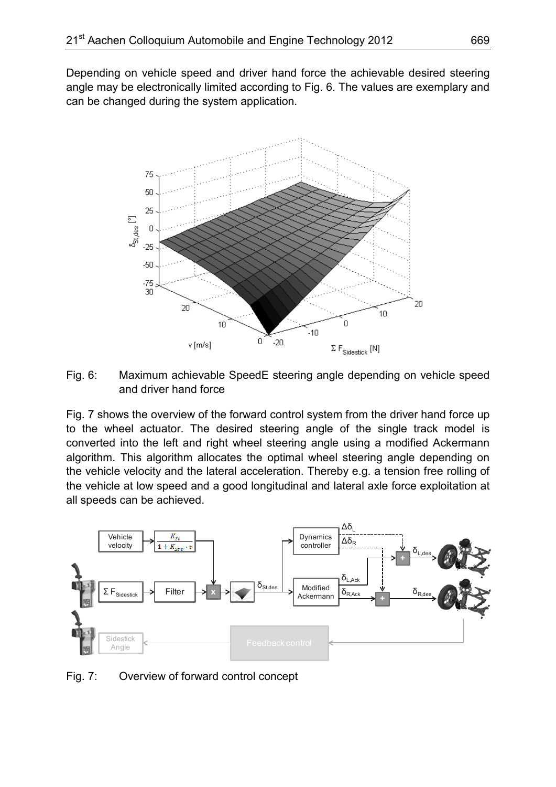Depending on vehicle speed and driver hand force the achievable desired steering angle may be electronically limited according to Fig. 6. The values are exemplary and can be changed during the system application.



Fig. 6: Maximum achievable SpeedE steering angle depending on vehicle speed and driver hand force

Fig. 7 shows the overview of the forward control system from the driver hand force up to the wheel actuator. The desired steering angle of the single track model is converted into the left and right wheel steering angle using a modified Ackermann algorithm. This algorithm allocates the optimal wheel steering angle depending on the vehicle velocity and the lateral acceleration. Thereby e.g. a tension free rolling of the vehicle at low speed and a good longitudinal and lateral axle force exploitation at all speeds can be achieved.



Fig. 7: Overview of forward control concept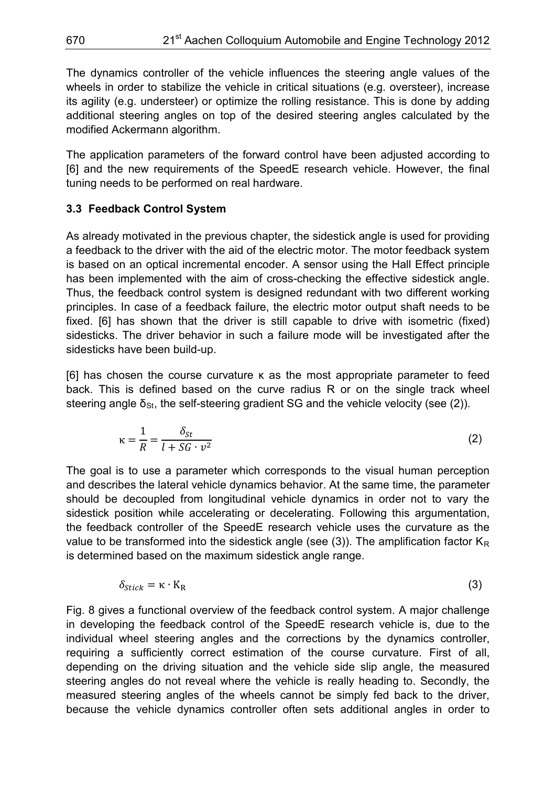The dynamics controller of the vehicle influences the steering angle values of the wheels in order to stabilize the vehicle in critical situations (e.g. oversteer), increase its agility (e.g. understeer) or optimize the rolling resistance. This is done by adding additional steering angles on top of the desired steering angles calculated by the modified Ackermann algorithm.

The application parameters of the forward control have been adjusted according to [6] and the new requirements of the SpeedE research vehicle. However, the final tuning needs to be performed on real hardware.

## **3.3 Feedback Control System**

As already motivated in the previous chapter, the sidestick angle is used for providing a feedback to the driver with the aid of the electric motor. The motor feedback system is based on an optical incremental encoder. A sensor using the Hall Effect principle has been implemented with the aim of cross-checking the effective sidestick angle. Thus, the feedback control system is designed redundant with two different working principles. In case of a feedback failure, the electric motor output shaft needs to be fixed. [6] has shown that the driver is still capable to drive with isometric (fixed) sidesticks. The driver behavior in such a failure mode will be investigated after the sidesticks have been build-up.

[6] has chosen the course curvature κ as the most appropriate parameter to feed back. This is defined based on the curve radius R or on the single track wheel steering angle  $\delta_{\rm St}$ , the self-steering gradient SG and the vehicle velocity (see (2)).

$$
\kappa = \frac{1}{R} = \frac{\delta_{St}}{l + SG \cdot v^2} \tag{2}
$$

The goal is to use a parameter which corresponds to the visual human perception and describes the lateral vehicle dynamics behavior. At the same time, the parameter should be decoupled from longitudinal vehicle dynamics in order not to vary the sidestick position while accelerating or decelerating. Following this argumentation, the feedback controller of the SpeedE research vehicle uses the curvature as the value to be transformed into the sidestick angle (see (3)). The amplification factor  $K_R$ is determined based on the maximum sidestick angle range.

$$
\delta_{Stick} = \kappa \cdot K_R \tag{3}
$$

Fig. 8 gives a functional overview of the feedback control system. A major challenge in developing the feedback control of the SpeedE research vehicle is, due to the individual wheel steering angles and the corrections by the dynamics controller, requiring a sufficiently correct estimation of the course curvature. First of all, depending on the driving situation and the vehicle side slip angle, the measured steering angles do not reveal where the vehicle is really heading to. Secondly, the measured steering angles of the wheels cannot be simply fed back to the driver, because the vehicle dynamics controller often sets additional angles in order to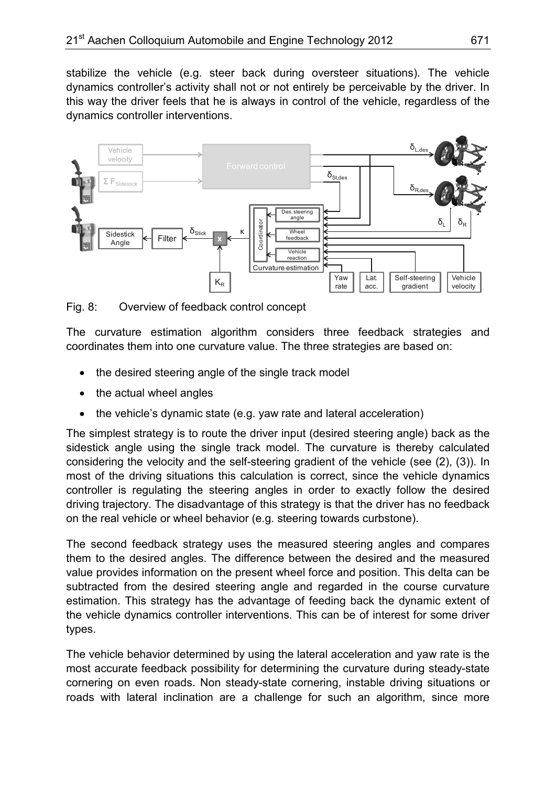stabilize the vehicle (e.g. steer back during oversteer situations). The vehicle dynamics controller's activity shall not or not entirely be perceivable by the driver. In this way the driver feels that he is always in control of the vehicle, regardless of the dynamics controller interventions.



Fig. 8: Overview of feedback control concept

The curvature estimation algorithm considers three feedback strategies and coordinates them into one curvature value. The three strategies are based on:

- the desired steering angle of the single track model
- the actual wheel angles
- the vehicle's dynamic state (e.g. yaw rate and lateral acceleration)

The simplest strategy is to route the driver input (desired steering angle) back as the sidestick angle using the single track model. The curvature is thereby calculated considering the velocity and the self-steering gradient of the vehicle (see (2), (3)). In most of the driving situations this calculation is correct, since the vehicle dynamics controller is regulating the steering angles in order to exactly follow the desired driving trajectory. The disadvantage of this strategy is that the driver has no feedback on the real vehicle or wheel behavior (e.g. steering towards curbstone).

The second feedback strategy uses the measured steering angles and compares them to the desired angles. The difference between the desired and the measured value provides information on the present wheel force and position. This delta can be subtracted from the desired steering angle and regarded in the course curvature estimation. This strategy has the advantage of feeding back the dynamic extent of the vehicle dynamics controller interventions. This can be of interest for some driver types.

The vehicle behavior determined by using the lateral acceleration and yaw rate is the most accurate feedback possibility for determining the curvature during steady-state cornering on even roads. Non steady-state cornering, instable driving situations or roads with lateral inclination are a challenge for such an algorithm, since more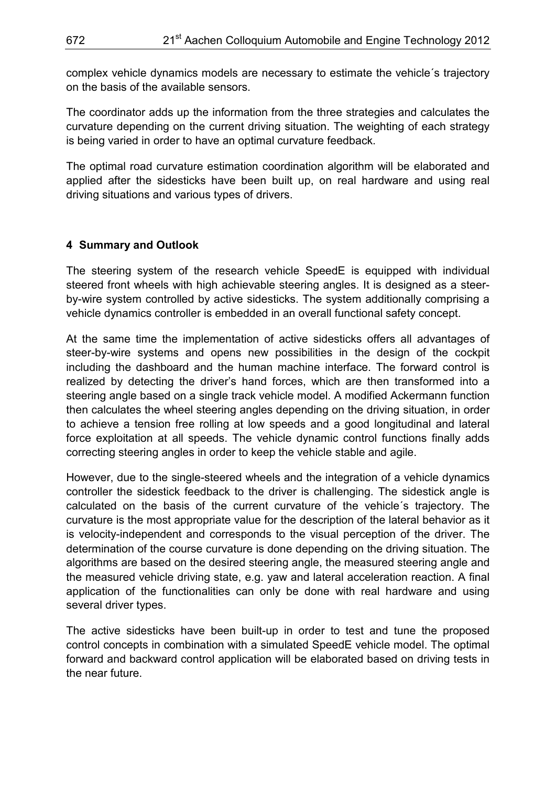complex vehicle dynamics models are necessary to estimate the vehicle´s trajectory on the basis of the available sensors.

The coordinator adds up the information from the three strategies and calculates the curvature depending on the current driving situation. The weighting of each strategy is being varied in order to have an optimal curvature feedback.

The optimal road curvature estimation coordination algorithm will be elaborated and applied after the sidesticks have been built up, on real hardware and using real driving situations and various types of drivers.

## **4 Summary and Outlook**

The steering system of the research vehicle SpeedE is equipped with individual steered front wheels with high achievable steering angles. It is designed as a steerby-wire system controlled by active sidesticks. The system additionally comprising a vehicle dynamics controller is embedded in an overall functional safety concept.

At the same time the implementation of active sidesticks offers all advantages of steer-by-wire systems and opens new possibilities in the design of the cockpit including the dashboard and the human machine interface. The forward control is realized by detecting the driver's hand forces, which are then transformed into a steering angle based on a single track vehicle model. A modified Ackermann function then calculates the wheel steering angles depending on the driving situation, in order to achieve a tension free rolling at low speeds and a good longitudinal and lateral force exploitation at all speeds. The vehicle dynamic control functions finally adds correcting steering angles in order to keep the vehicle stable and agile.

However, due to the single-steered wheels and the integration of a vehicle dynamics controller the sidestick feedback to the driver is challenging. The sidestick angle is calculated on the basis of the current curvature of the vehicle´s trajectory. The curvature is the most appropriate value for the description of the lateral behavior as it is velocity-independent and corresponds to the visual perception of the driver. The determination of the course curvature is done depending on the driving situation. The algorithms are based on the desired steering angle, the measured steering angle and the measured vehicle driving state, e.g. yaw and lateral acceleration reaction. A final application of the functionalities can only be done with real hardware and using several driver types.

The active sidesticks have been built-up in order to test and tune the proposed control concepts in combination with a simulated SpeedE vehicle model. The optimal forward and backward control application will be elaborated based on driving tests in the near future.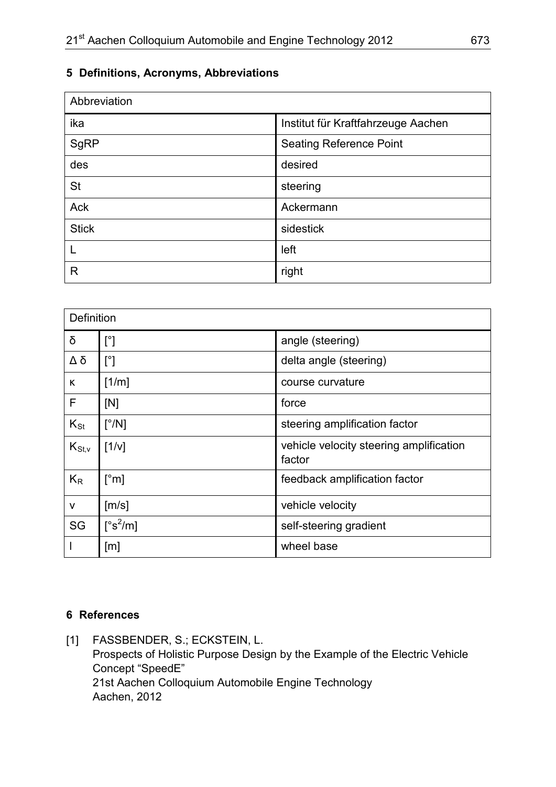# **5 Definitions, Acronyms, Abbreviations**

| Abbreviation |                                    |
|--------------|------------------------------------|
| ika          | Institut für Kraftfahrzeuge Aachen |
| SgRP         | <b>Seating Reference Point</b>     |
| des          | desired                            |
| <b>St</b>    | steering                           |
| Ack          | Ackermann                          |
| <b>Stick</b> | sidestick                          |
|              | left                               |
| R            | right                              |

| Definition  |                                  |                                                   |
|-------------|----------------------------------|---------------------------------------------------|
| δ           | $[^{\circ}]$                     | angle (steering)                                  |
| Δδ          | $[^{\circ}]$                     | delta angle (steering)                            |
| K           | [1/m]                            | course curvature                                  |
| F           | [N]                              | force                                             |
| $K_{St}$    | $\lceil^{\circ}/N\rceil$         | steering amplification factor                     |
| $K_{St, v}$ | [1/v]                            | vehicle velocity steering amplification<br>factor |
| $K_{R}$     | $\lceil$ °m]                     | feedback amplification factor                     |
| V           | [m/s]                            | vehicle velocity                                  |
| SG          | $[^{\circ} \text{s}^2/\text{m}]$ | self-steering gradient                            |
|             | [m]                              | wheel base                                        |

## **6 References**

[1] FASSBENDER, S.; ECKSTEIN, L. Prospects of Holistic Purpose Design by the Example of the Electric Vehicle Concept "SpeedE" 21st Aachen Colloquium Automobile Engine Technology Aachen, 2012